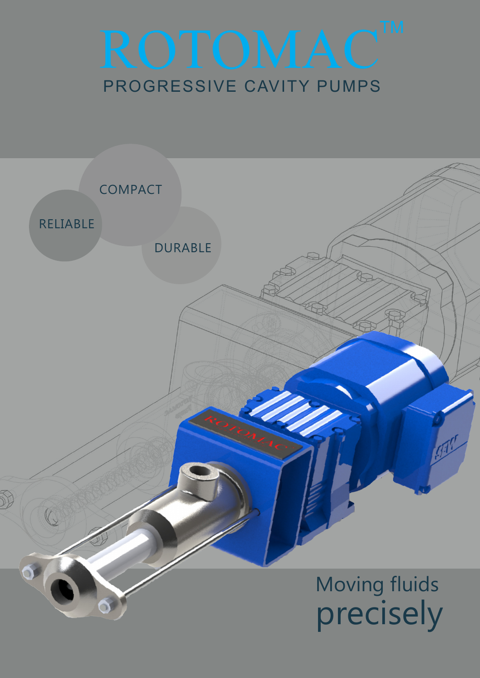